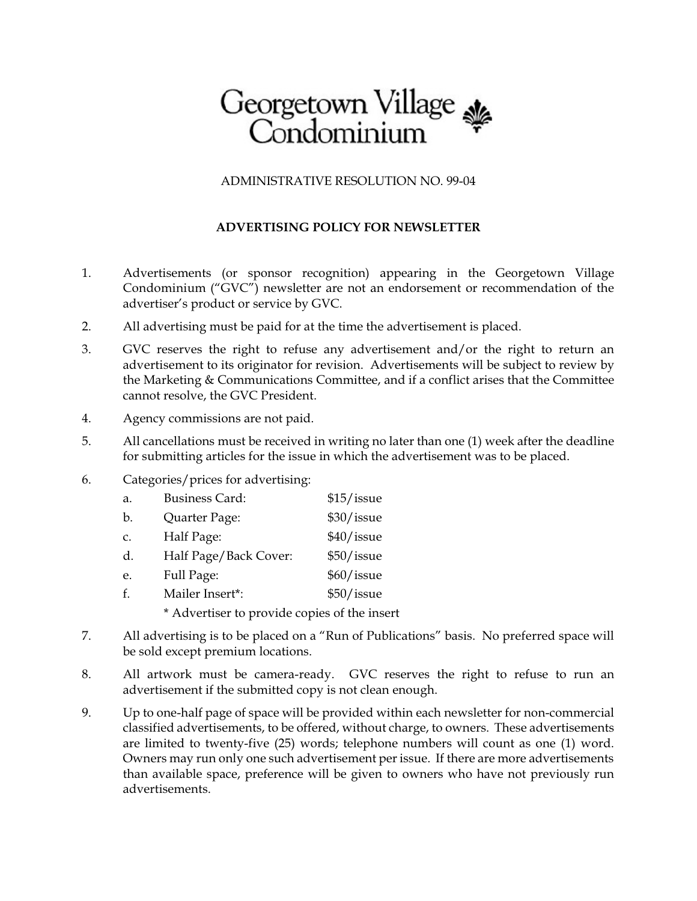## Georgetown Village<br>Condominium

ADMINISTRATIVE RESOLUTION NO. 99-04

## **ADVERTISING POLICY FOR NEWSLETTER**

- 1. Advertisements (or sponsor recognition) appearing in the Georgetown Village Condominium ("GVC") newsletter are not an endorsement or recommendation of the advertiser's product or service by GVC.
- 2. All advertising must be paid for at the time the advertisement is placed.
- 3. GVC reserves the right to refuse any advertisement and/or the right to return an advertisement to its originator for revision. Advertisements will be subject to review by the Marketing & Communications Committee, and if a conflict arises that the Committee cannot resolve, the GVC President.
- 4. Agency commissions are not paid.
- 5. All cancellations must be received in writing no later than one (1) week after the deadline for submitting articles for the issue in which the advertisement was to be placed.
- 6. Categories/prices for advertising:

| a.            | <b>Business Card:</b>                        | \$15/issue |  |
|---------------|----------------------------------------------|------------|--|
| b.            | Quarter Page:                                | \$30/issue |  |
| $C_{\bullet}$ | Half Page:                                   | \$40/issue |  |
| d.            | Half Page/Back Cover:                        | \$50/issue |  |
| e.            | Full Page:                                   | \$60/issue |  |
| f.            | Mailer Insert*:                              | \$50/issue |  |
|               | * Advertiser to provide copies of the insert |            |  |

- 7. All advertising is to be placed on a "Run of Publications" basis. No preferred space will be sold except premium locations.
- 8. All artwork must be camera-ready. GVC reserves the right to refuse to run an advertisement if the submitted copy is not clean enough.
- 9. Up to one-half page of space will be provided within each newsletter for non-commercial classified advertisements, to be offered, without charge, to owners. These advertisements are limited to twenty-five (25) words; telephone numbers will count as one (1) word. Owners may run only one such advertisement per issue. If there are more advertisements than available space, preference will be given to owners who have not previously run advertisements.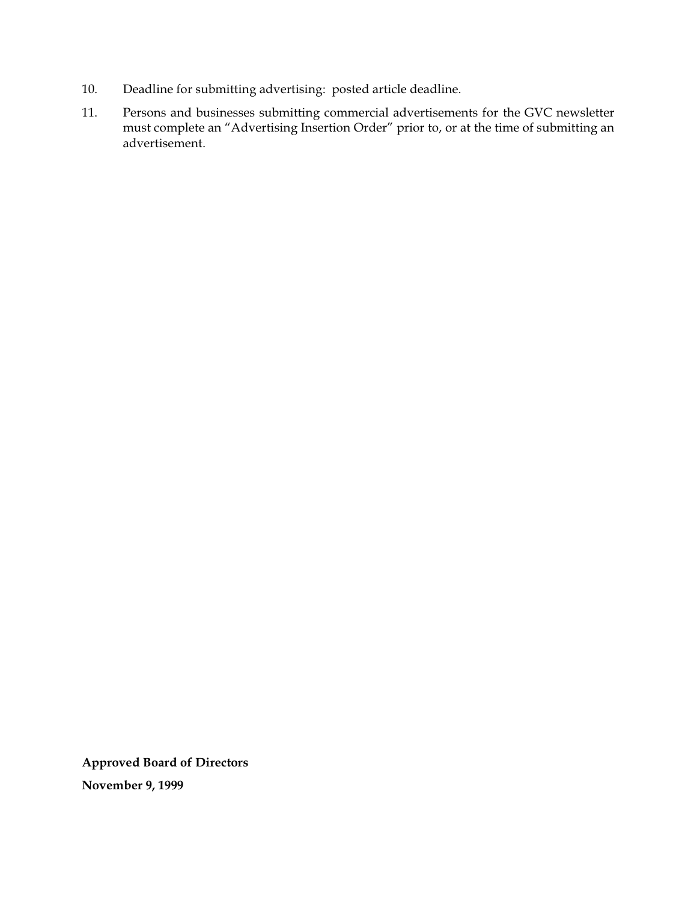- 10. Deadline for submitting advertising: posted article deadline.
- 11. Persons and businesses submitting commercial advertisements for the GVC newsletter must complete an "Advertising Insertion Order" prior to, or at the time of submitting an advertisement.

**Approved Board of Directors November 9, 1999**